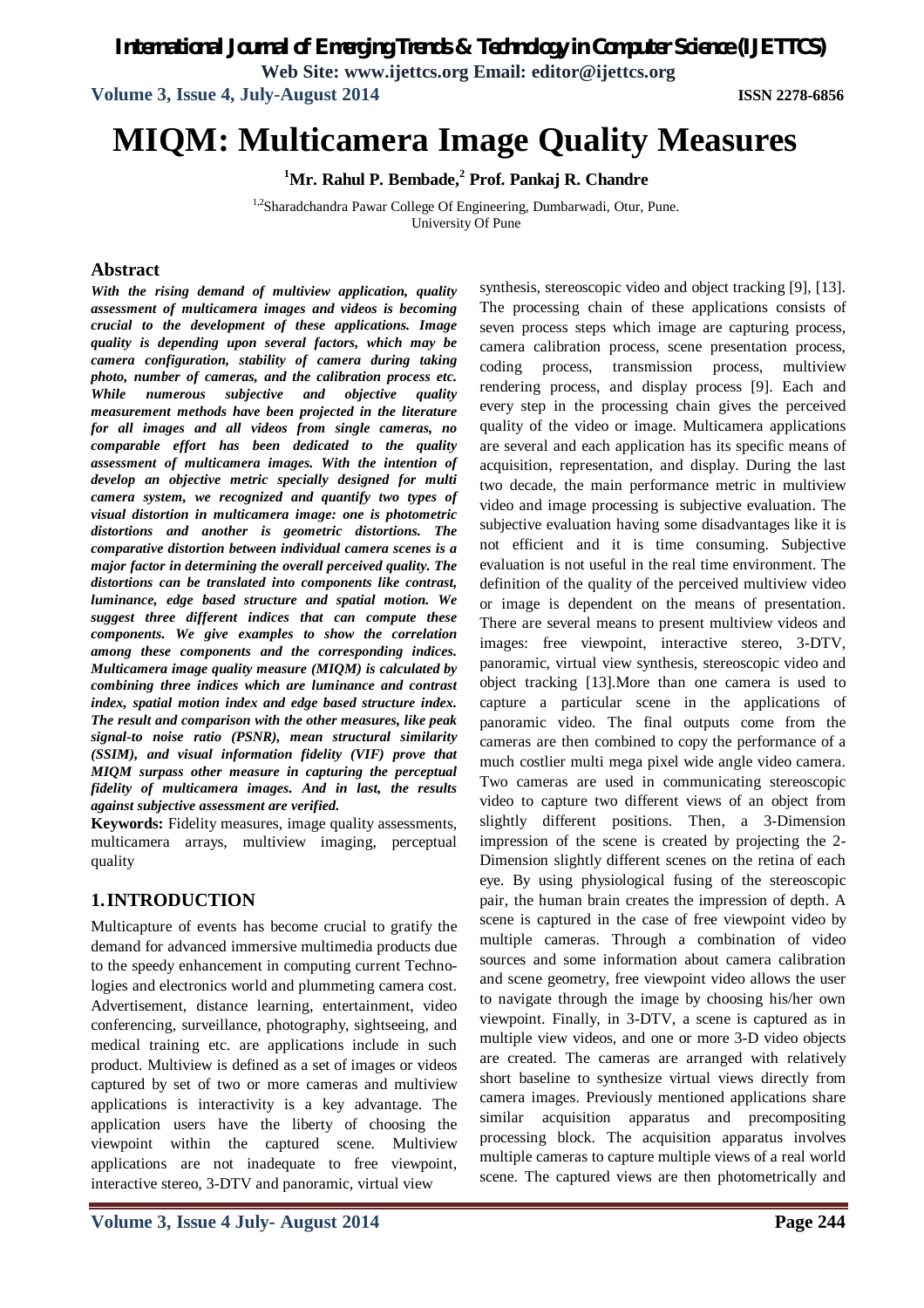*International Journal of Emerging Trends & Technology in Computer Science (IJETTCS)*

**Web Site: www.ijettcs.org Email: editor@ijettcs.org**

**Volume 3, Issue 4, July-August 2014 ISSN 2278-6856**

# **MIQM: Multicamera Image Quality Measures**

**<sup>1</sup>Mr. Rahul P. Bembade,<sup>2</sup> Prof. Pankaj R. Chandre**

1,2Sharadchandra Pawar College Of Engineering, Dumbarwadi, Otur, Pune. University Of Pune

### **Abstract**

*With the rising demand of multiview application, quality assessment of multicamera images and videos is becoming crucial to the development of these applications. Image quality is depending upon several factors, which may be camera configuration, stability of camera during taking photo, number of cameras, and the calibration process etc. While numerous subjective and objective quality measurement methods have been projected in the literature for all images and all videos from single cameras, no comparable effort has been dedicated to the quality assessment of multicamera images. With the intention of develop an objective metric specially designed for multi camera system, we recognized and quantify two types of visual distortion in multicamera image: one is photometric distortions and another is geometric distortions. The comparative distortion between individual camera scenes is a major factor in determining the overall perceived quality. The distortions can be translated into components like contrast, luminance, edge based structure and spatial motion. We suggest three different indices that can compute these components. We give examples to show the correlation among these components and the corresponding indices. Multicamera image quality measure (MIQM) is calculated by combining three indices which are luminance and contrast index, spatial motion index and edge based structure index. The result and comparison with the other measures, like peak signal-to noise ratio (PSNR), mean structural similarity (SSIM), and visual information fidelity (VIF) prove that MIQM surpass other measure in capturing the perceptual fidelity of multicamera images. And in last, the results against subjective assessment are verified.*

**Keywords:** Fidelity measures, image quality assessments, multicamera arrays, multiview imaging, perceptual quality

# **1.INTRODUCTION**

Multicapture of events has become crucial to gratify the demand for advanced immersive multimedia products due to the speedy enhancement in computing current Technologies and electronics world and plummeting camera cost. Advertisement, distance learning, entertainment, video conferencing, surveillance, photography, sightseeing, and medical training etc. are applications include in such product. Multiview is defined as a set of images or videos captured by set of two or more cameras and multiview applications is interactivity is a key advantage. The application users have the liberty of choosing the viewpoint within the captured scene. Multiview applications are not inadequate to free viewpoint, interactive stereo, 3-DTV and panoramic, virtual view

synthesis, stereoscopic video and object tracking [9], [13]. The processing chain of these applications consists of seven process steps which image are capturing process, camera calibration process, scene presentation process, coding process, transmission process, multiview rendering process, and display process [9]. Each and every step in the processing chain gives the perceived quality of the video or image. Multicamera applications are several and each application has its specific means of acquisition, representation, and display. During the last two decade, the main performance metric in multiview video and image processing is subjective evaluation. The subjective evaluation having some disadvantages like it is not efficient and it is time consuming. Subjective evaluation is not useful in the real time environment. The definition of the quality of the perceived multiview video or image is dependent on the means of presentation. There are several means to present multiview videos and images: free viewpoint, interactive stereo, 3-DTV, panoramic, virtual view synthesis, stereoscopic video and object tracking [13].More than one camera is used to capture a particular scene in the applications of panoramic video. The final outputs come from the cameras are then combined to copy the performance of a much costlier multi mega pixel wide angle video camera. Two cameras are used in communicating stereoscopic video to capture two different views of an object from slightly different positions. Then, a 3-Dimension impression of the scene is created by projecting the 2- Dimension slightly different scenes on the retina of each eye. By using physiological fusing of the stereoscopic pair, the human brain creates the impression of depth. A scene is captured in the case of free viewpoint video by multiple cameras. Through a combination of video sources and some information about camera calibration and scene geometry, free viewpoint video allows the user to navigate through the image by choosing his/her own viewpoint. Finally, in 3-DTV, a scene is captured as in multiple view videos, and one or more 3-D video objects are created. The cameras are arranged with relatively short baseline to synthesize virtual views directly from camera images. Previously mentioned applications share similar acquisition apparatus and precompositing processing block. The acquisition apparatus involves multiple cameras to capture multiple views of a real world scene. The captured views are then photometrically and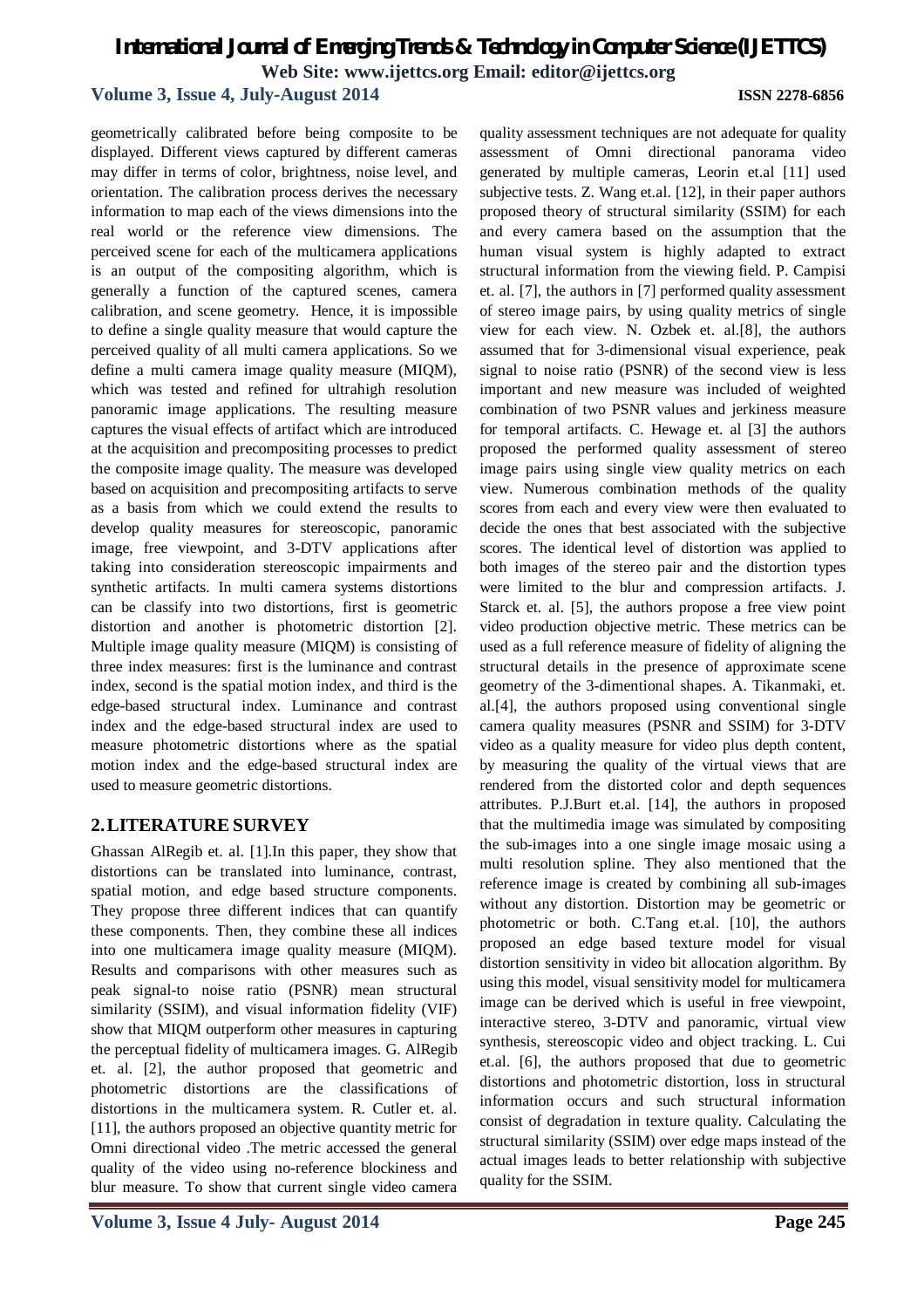## **Volume 3, Issue 4, July-August 2014 ISSN 2278-6856**

geometrically calibrated before being composite to be displayed. Different views captured by different cameras may differ in terms of color, brightness, noise level, and orientation. The calibration process derives the necessary information to map each of the views dimensions into the real world or the reference view dimensions. The perceived scene for each of the multicamera applications is an output of the compositing algorithm, which is generally a function of the captured scenes, camera calibration, and scene geometry. Hence, it is impossible to define a single quality measure that would capture the perceived quality of all multi camera applications. So we define a multi camera image quality measure (MIQM), which was tested and refined for ultrahigh resolution panoramic image applications. The resulting measure captures the visual effects of artifact which are introduced at the acquisition and precompositing processes to predict the composite image quality. The measure was developed based on acquisition and precompositing artifacts to serve as a basis from which we could extend the results to develop quality measures for stereoscopic, panoramic image, free viewpoint, and 3-DTV applications after taking into consideration stereoscopic impairments and synthetic artifacts. In multi camera systems distortions can be classify into two distortions, first is geometric distortion and another is photometric distortion [2]. Multiple image quality measure (MIQM) is consisting of three index measures: first is the luminance and contrast index, second is the spatial motion index, and third is the edge-based structural index. Luminance and contrast index and the edge-based structural index are used to measure photometric distortions where as the spatial motion index and the edge-based structural index are used to measure geometric distortions.

# **2.LITERATURE SURVEY**

Ghassan AlRegib et. al. [1].In this paper, they show that distortions can be translated into luminance, contrast, spatial motion, and edge based structure components. They propose three different indices that can quantify these components. Then, they combine these all indices into one multicamera image quality measure (MIQM). Results and comparisons with other measures such as peak signal-to noise ratio (PSNR) mean structural similarity (SSIM), and visual information fidelity (VIF) show that MIQM outperform other measures in capturing the perceptual fidelity of multicamera images. G. AlRegib et. al. [2], the author proposed that geometric and photometric distortions are the classifications of distortions in the multicamera system. R. Cutler et. al. [11], the authors proposed an objective quantity metric for Omni directional video .The metric accessed the general quality of the video using no-reference blockiness and blur measure. To show that current single video camera

quality assessment techniques are not adequate for quality assessment of Omni directional panorama video generated by multiple cameras, Leorin et.al [11] used subjective tests. Z. Wang et.al. [12], in their paper authors proposed theory of structural similarity (SSIM) for each and every camera based on the assumption that the human visual system is highly adapted to extract structural information from the viewing field. P. Campisi et. al. [7], the authors in [7] performed quality assessment of stereo image pairs, by using quality metrics of single view for each view. N. Ozbek et. al.[8], the authors assumed that for 3-dimensional visual experience, peak signal to noise ratio (PSNR) of the second view is less important and new measure was included of weighted combination of two PSNR values and jerkiness measure for temporal artifacts. C. Hewage et. al [3] the authors proposed the performed quality assessment of stereo image pairs using single view quality metrics on each view. Numerous combination methods of the quality scores from each and every view were then evaluated to decide the ones that best associated with the subjective scores. The identical level of distortion was applied to both images of the stereo pair and the distortion types were limited to the blur and compression artifacts. J. Starck et. al. [5], the authors propose a free view point video production objective metric. These metrics can be used as a full reference measure of fidelity of aligning the structural details in the presence of approximate scene geometry of the 3-dimentional shapes. A. Tikanmaki, et. al.[4], the authors proposed using conventional single camera quality measures (PSNR and SSIM) for 3-DTV video as a quality measure for video plus depth content, by measuring the quality of the virtual views that are rendered from the distorted color and depth sequences attributes. P.J.Burt et.al. [14], the authors in proposed that the multimedia image was simulated by compositing the sub-images into a one single image mosaic using a multi resolution spline. They also mentioned that the reference image is created by combining all sub-images without any distortion. Distortion may be geometric or photometric or both. C.Tang et.al. [10], the authors proposed an edge based texture model for visual distortion sensitivity in video bit allocation algorithm. By using this model, visual sensitivity model for multicamera image can be derived which is useful in free viewpoint, interactive stereo, 3-DTV and panoramic, virtual view synthesis, stereoscopic video and object tracking. L. Cui et.al. [6], the authors proposed that due to geometric distortions and photometric distortion, loss in structural information occurs and such structural information consist of degradation in texture quality. Calculating the structural similarity (SSIM) over edge maps instead of the actual images leads to better relationship with subjective quality for the SSIM.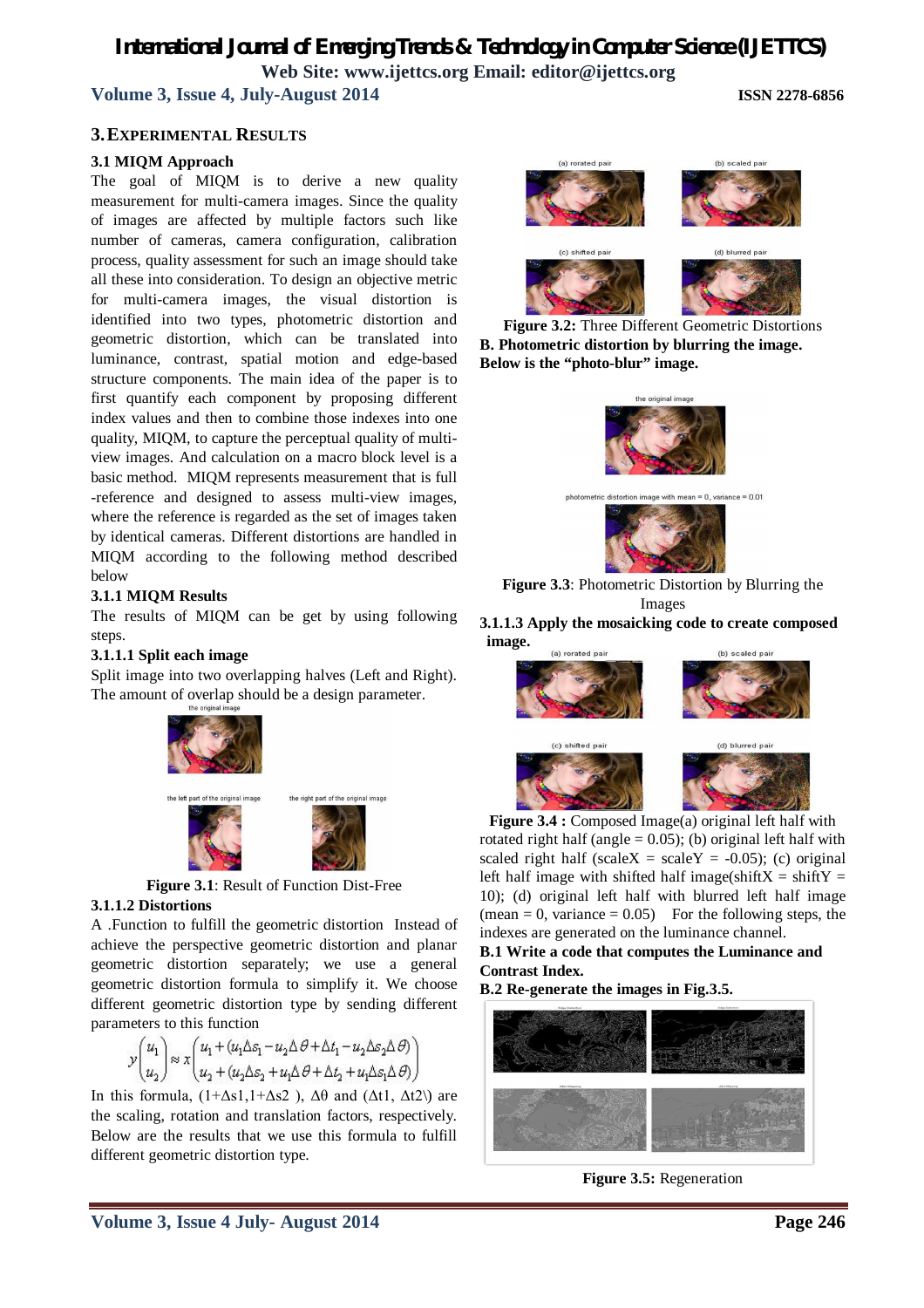**Volume 3, Issue 4, July-August 2014 ISSN 2278-6856**

### **3.EXPERIMENTAL RESULTS**

### **3.1 MIQM Approach**

The goal of MIQM is to derive a new quality measurement for multi-camera images. Since the quality of images are affected by multiple factors such like number of cameras, camera configuration, calibration process, quality assessment for such an image should take all these into consideration. To design an objective metric for multi-camera images, the visual distortion is identified into two types, photometric distortion and geometric distortion, which can be translated into luminance, contrast, spatial motion and edge-based structure components. The main idea of the paper is to first quantify each component by proposing different index values and then to combine those indexes into one quality, MIQM, to capture the perceptual quality of multiview images. And calculation on a macro block level is a basic method. MIQM represents measurement that is full -reference and designed to assess multi-view images, where the reference is regarded as the set of images taken by identical cameras. Different distortions are handled in MIQM according to the following method described below

#### **3.1.1 MIQM Results**

The results of MIQM can be get by using following steps.

#### **3.1.1.1 Split each image**

Split image into two overlapping halves (Left and Right). The amount of overlap should be a design parameter.



**Figure 3.1**: Result of Function Dist-Free

#### **3.1.1.2 Distortions**

A .Function to fulfill the geometric distortion Instead of achieve the perspective geometric distortion and planar geometric distortion separately; we use a general geometric distortion formula to simplify it. We choose different geometric distortion type by sending different parameters to this function

$$
\mathcal{Y} {\begin{pmatrix} u_1 \\ u_2 \end{pmatrix}} \approx x {\begin{pmatrix} u_1 + (u_1 \Delta \varepsilon_1 - u_2 \Delta \, \theta + \Delta t_1 - u_2 \Delta \varepsilon_2 \Delta \, \theta) \\ u_2 + (u_2 \Delta \varepsilon_2 + u_1 \Delta \, \theta + \Delta t_2 + u_1 \Delta \varepsilon_1 \Delta \, \theta) \end{pmatrix}}
$$

In this formula,  $(1+\Delta s1,1+\Delta s2)$ ,  $\Delta\theta$  and  $(\Delta t1, \Delta t2)$  are the scaling, rotation and translation factors, respectively. Below are the results that we use this formula to fulfill different geometric distortion type.



**Figure 3.2:** Three Different Geometric Distortions **B. Photometric distortion by blurring the image. Below is the "photo-blur" image.**



**Figure 3.3**: Photometric Distortion by Blurring the Images

#### **3.1.1.3 Apply the mosaicking code to create composed image.** (a) rorated pai (b) scaled pai



**Figure 3.4 :** Composed Image(a) original left half with rotated right half (angle  $= 0.05$ ); (b) original left half with scaled right half (scaleX = scaleY =  $-0.05$ ); (c) original left half image with shifted half image(shift $X = shiftY =$ 10); (d) original left half with blurred left half image  $(\text{mean} = 0, \text{ variance} = 0.05)$  For the following steps, the indexes are generated on the luminance channel.

**B.1 Write a code that computes the Luminance and Contrast Index.** 

**B.2 Re-generate the images in Fig.3.5.**



**Figure 3.5:** Regeneration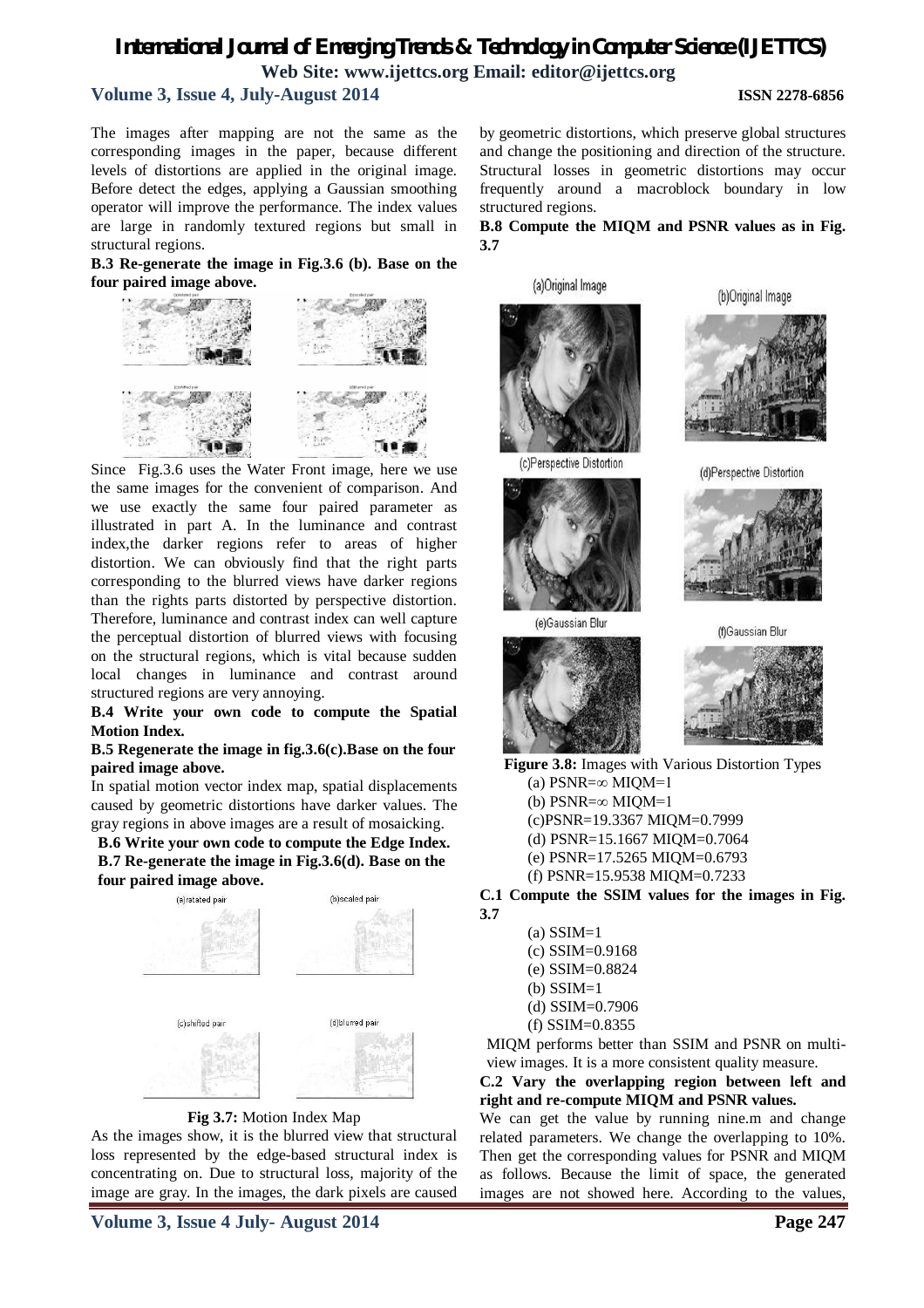# *International Journal of Emerging Trends & Technology in Computer Science (IJETTCS)* **Web Site: www.ijettcs.org Email: editor@ijettcs.org Volume 3, Issue 4, July-August 2014 ISSN 2278-6856**

The images after mapping are not the same as the corresponding images in the paper, because different levels of distortions are applied in the original image. Before detect the edges, applying a Gaussian smoothing operator will improve the performance. The index values are large in randomly textured regions but small in structural regions.

**B.3 Re-generate the image in Fig.3.6 (b). Base on the four paired image above.**



Since Fig.3.6 uses the Water Front image, here we use the same images for the convenient of comparison. And we use exactly the same four paired parameter as illustrated in part A. In the luminance and contrast index,the darker regions refer to areas of higher distortion. We can obviously find that the right parts corresponding to the blurred views have darker regions than the rights parts distorted by perspective distortion. Therefore, luminance and contrast index can well capture the perceptual distortion of blurred views with focusing on the structural regions, which is vital because sudden local changes in luminance and contrast around structured regions are very annoying.

#### **B.4 Write your own code to compute the Spatial Motion Index.**

#### **B.5 Regenerate the image in fig.3.6(c).Base on the four paired image above.**

In spatial motion vector index map, spatial displacements caused by geometric distortions have darker values. The gray regions in above images are a result of mosaicking.

**B.6 Write your own code to compute the Edge Index. B.7 Re-generate the image in Fig.3.6(d). Base on the four paired image above.**





As the images show, it is the blurred view that structural loss represented by the edge-based structural index is concentrating on. Due to structural loss, majority of the image are gray. In the images, the dark pixels are caused

by geometric distortions, which preserve global structures and change the positioning and direction of the structure. Structural losses in geometric distortions may occur frequently around a macroblock boundary in low structured regions.

#### **B.8 Compute the MIQM and PSNR values as in Fig. 3.7**







(d)Perspective Distortion



(e)Gaussian Blur



(f)Gaussian Blur

**Figure 3.8:** Images with Various Distortion Types (a)  $PSNR = \infty$  MIQM=1

- (b)  $PSNR = \infty$  MIOM=1
- (c)PSNR=19.3367 MIQM=0.7999
- (d) PSNR=15.1667 MIQM=0.7064
- (e) PSNR=17.5265 MIQM=0.6793
- (f) PSNR=15.9538 MIQM=0.7233

**C.1 Compute the SSIM values for the images in Fig. 3.7** 

- $(a)$  SSIM=1 (c) SSIM=0.9168 (e) SSIM=0.8824  $(b)$  SSIM=1 (d) SSIM=0.7906
- (f) SSIM=0.8355 MIQM performs better than SSIM and PSNR on multi-

view images. It is a more consistent quality measure.

#### **C.2 Vary the overlapping region between left and right and re-compute MIQM and PSNR values.**

We can get the value by running nine.m and change related parameters. We change the overlapping to 10%. Then get the corresponding values for PSNR and MIQM as follows. Because the limit of space, the generated images are not showed here. According to the values,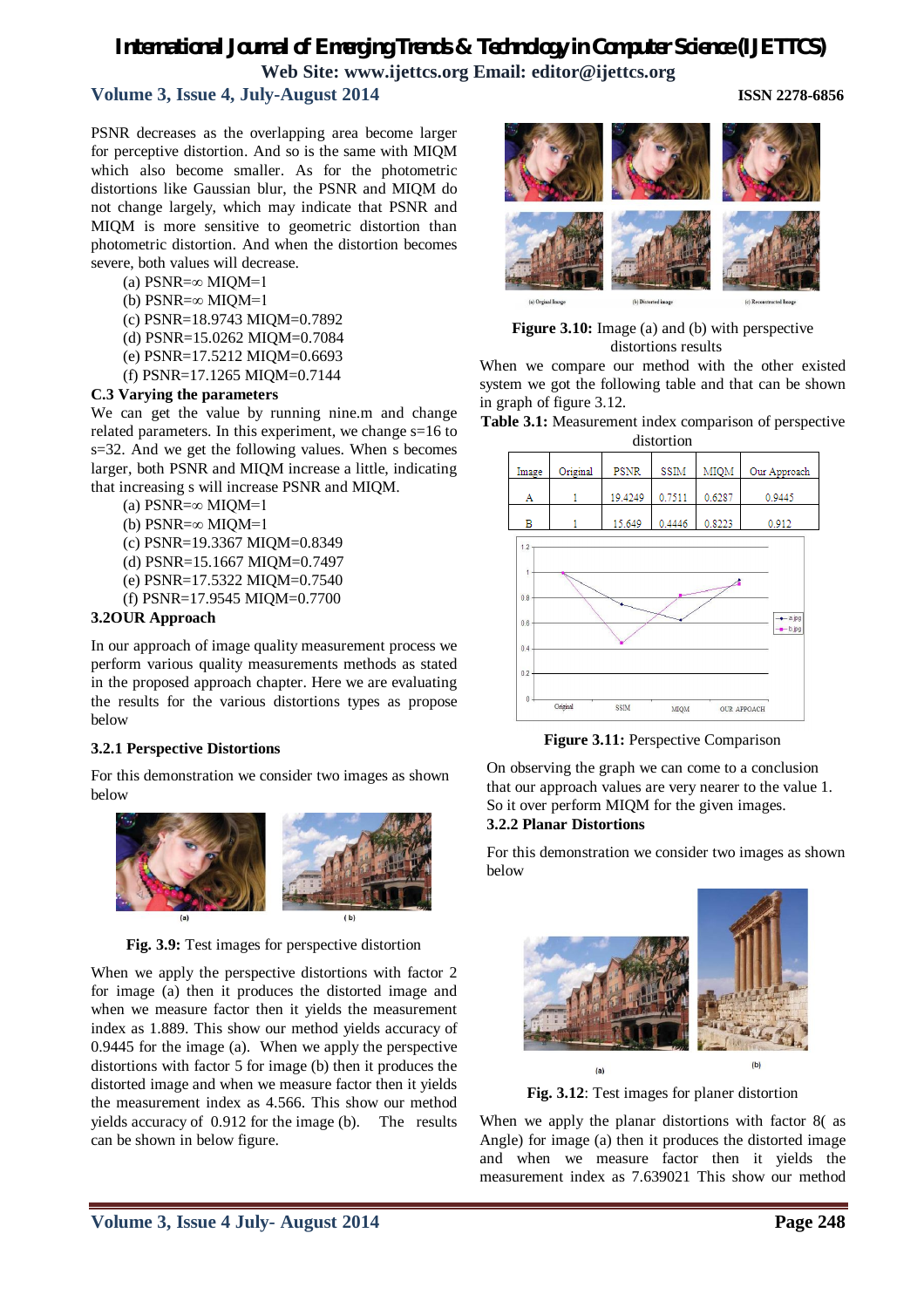# *International Journal of Emerging Trends & Technology in Computer Science (IJETTCS)*

**Web Site: www.ijettcs.org Email: editor@ijettcs.org**

# **Volume 3, Issue 4, July-August 2014 ISSN 2278-6856**

PSNR decreases as the overlapping area become larger for perceptive distortion. And so is the same with MIQM which also become smaller. As for the photometric distortions like Gaussian blur, the PSNR and MIQM do not change largely, which may indicate that PSNR and MIQM is more sensitive to geometric distortion than photometric distortion. And when the distortion becomes severe, both values will decrease.

(a)  $PSNR = \infty$  MIQM=1

- (b)  $PSNR = \infty$  MIQM=1
- (c) PSNR=18.9743 MIQM=0.7892
- (d) PSNR=15.0262 MIQM=0.7084
- (e) PSNR=17.5212 MIQM=0.6693
- (f) PSNR=17.1265 MIQM=0.7144

#### **C.3 Varying the parameters**

We can get the value by running nine.m and change related parameters. In this experiment, we change s=16 to s=32. And we get the following values. When s becomes larger, both PSNR and MIQM increase a little, indicating that increasing s will increase PSNR and MIQM.

(a) PSNR=∞ MIQM=1

- (b) PSNR=∞ MIQM=1
- (c) PSNR=19.3367 MIQM=0.8349
- (d) PSNR=15.1667 MIQM=0.7497
- (e) PSNR=17.5322 MIQM=0.7540
- (f) PSNR=17.9545 MIQM=0.7700

#### **3.2OUR Approach**

In our approach of image quality measurement process we perform various quality measurements methods as stated in the proposed approach chapter. Here we are evaluating the results for the various distortions types as propose below

#### **3.2.1 Perspective Distortions**

For this demonstration we consider two images as shown below



**Fig. 3.9:** Test images for perspective distortion

When we apply the perspective distortions with factor 2 for image (a) then it produces the distorted image and when we measure factor then it yields the measurement index as 1.889. This show our method yields accuracy of 0.9445 for the image (a). When we apply the perspective distortions with factor 5 for image (b) then it produces the distorted image and when we measure factor then it yields the measurement index as 4.566. This show our method yields accuracy of 0.912 for the image (b). The results can be shown in below figure.

**Figure 3.10:** Image (a) and (b) with perspective distortions results

When we compare our method with the other existed system we got the following table and that can be shown in graph of figure 3.12.





**Figure 3.11:** Perspective Comparison

On observing the graph we can come to a conclusion that our approach values are very nearer to the value 1. So it over perform MIQM for the given images. **3.2.2 Planar Distortions**

For this demonstration we consider two images as shown below



**Fig. 3.12**: Test images for planer distortion

When we apply the planar distortions with factor 8( as Angle) for image (a) then it produces the distorted image and when we measure factor then it yields the measurement index as 7.639021 This show our method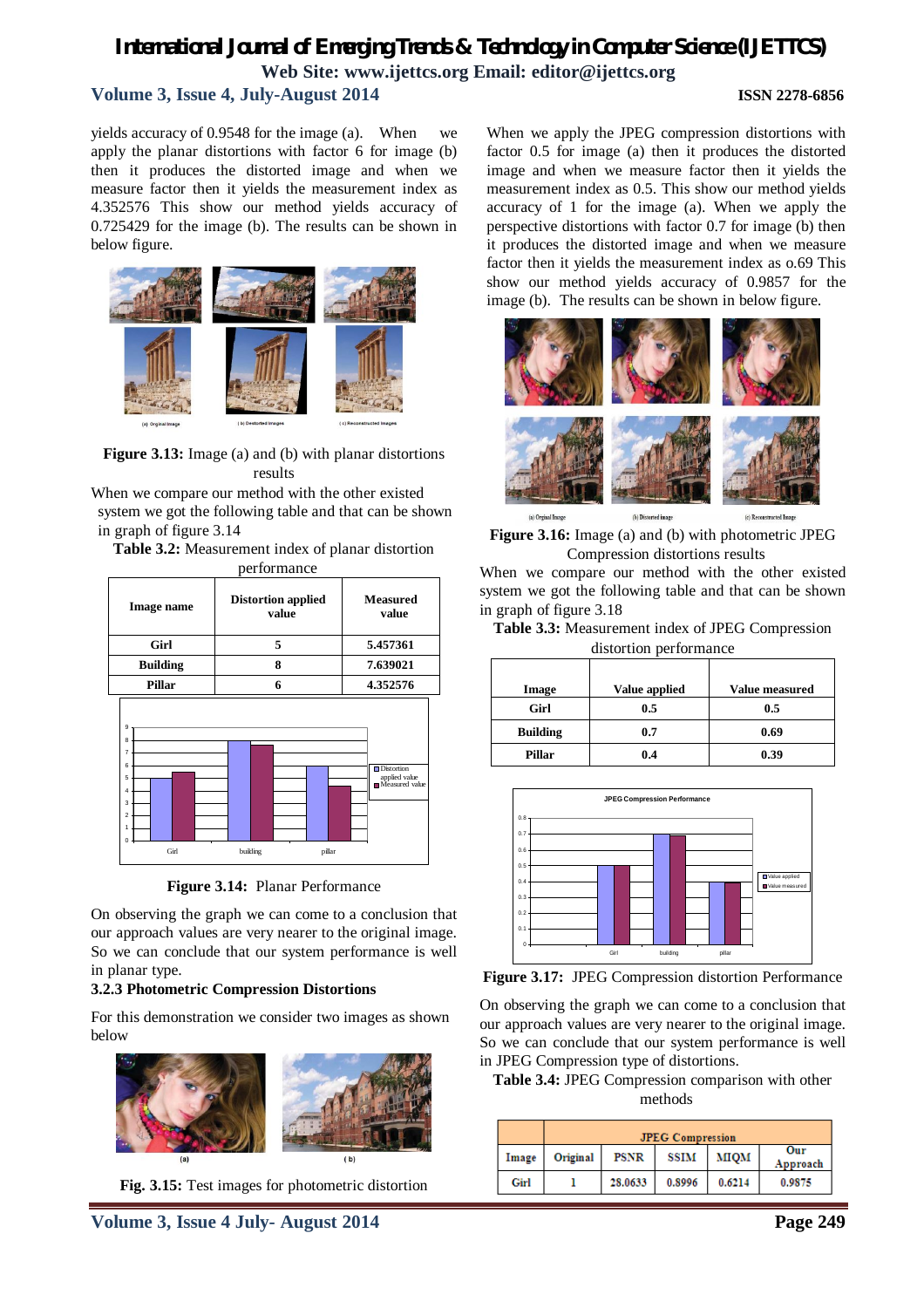# *International Journal of Emerging Trends & Technology in Computer Science (IJETTCS)* **Web Site: www.ijettcs.org Email: editor@ijettcs.org Volume 3, Issue 4, July-August 2014 ISSN 2278-6856**

yields accuracy of 0.9548 for the image (a). When we apply the planar distortions with factor 6 for image (b) then it produces the distorted image and when we measure factor then it yields the measurement index as 4.352576 This show our method yields accuracy of 0.725429 for the image (b). The results can be shown in below figure.



**Figure 3.13:** Image (a) and (b) with planar distortions results

When we compare our method with the other existed system we got the following table and that can be shown in graph of figure 3.14

**Table 3.2:** Measurement index of planar distortion performance

| Image name                                                                                                 | <b>Distortion applied</b><br>value | <b>Measured</b><br>value                                                     |  |
|------------------------------------------------------------------------------------------------------------|------------------------------------|------------------------------------------------------------------------------|--|
| Girl                                                                                                       | 5                                  | 5.457361                                                                     |  |
| <b>Building</b>                                                                                            | 8                                  | 7.639021                                                                     |  |
| Pillar                                                                                                     | 6                                  | 4.352576                                                                     |  |
| $\overline{9}$<br>8<br>$\overline{7}$<br>6<br>5<br>$\overline{4}$<br>3<br>$\overline{2}$<br>1<br>O<br>Girl | building<br>pillar                 | $\Box$ Distortion<br>applied value<br>$\hfill\blacksquare$<br>Measured value |  |

**Figure 3.14:** Planar Performance

On observing the graph we can come to a conclusion that our approach values are very nearer to the original image. So we can conclude that our system performance is well in planar type.

#### **3.2.3 Photometric Compression Distortions**

For this demonstration we consider two images as shown below



**Fig. 3.15:** Test images for photometric distortion

When we apply the JPEG compression distortions with factor 0.5 for image (a) then it produces the distorted image and when we measure factor then it yields the measurement index as 0.5. This show our method yields accuracy of 1 for the image (a). When we apply the perspective distortions with factor 0.7 for image (b) then it produces the distorted image and when we measure factor then it yields the measurement index as o.69 This show our method yields accuracy of 0.9857 for the image (b). The results can be shown in below figure.





When we compare our method with the other existed system we got the following table and that can be shown in graph of figure 3.18

|  | Table 3.3: Measurement index of JPEG Compression |  |
|--|--------------------------------------------------|--|
|  | distortion performance                           |  |

| Image           | Value applied | Value measured |
|-----------------|---------------|----------------|
| Girl            | 0.5           | 0.5            |
| <b>Building</b> | 0.7           | 0.69           |
| <b>Pillar</b>   | 0.4           | 0.39           |





On observing the graph we can come to a conclusion that our approach values are very nearer to the original image. So we can conclude that our system performance is well in JPEG Compression type of distortions.

**Table 3.4:** JPEG Compression comparison with other methods

|       | <b>JPEG Compression</b> |             |             |        |                 |
|-------|-------------------------|-------------|-------------|--------|-----------------|
| Image | Original                | <b>PSNR</b> | <b>SSIM</b> | MIOM   | Our<br>Approach |
| Girl  |                         | 28.0633     | 0.8996      | 0.6214 | 0.9875          |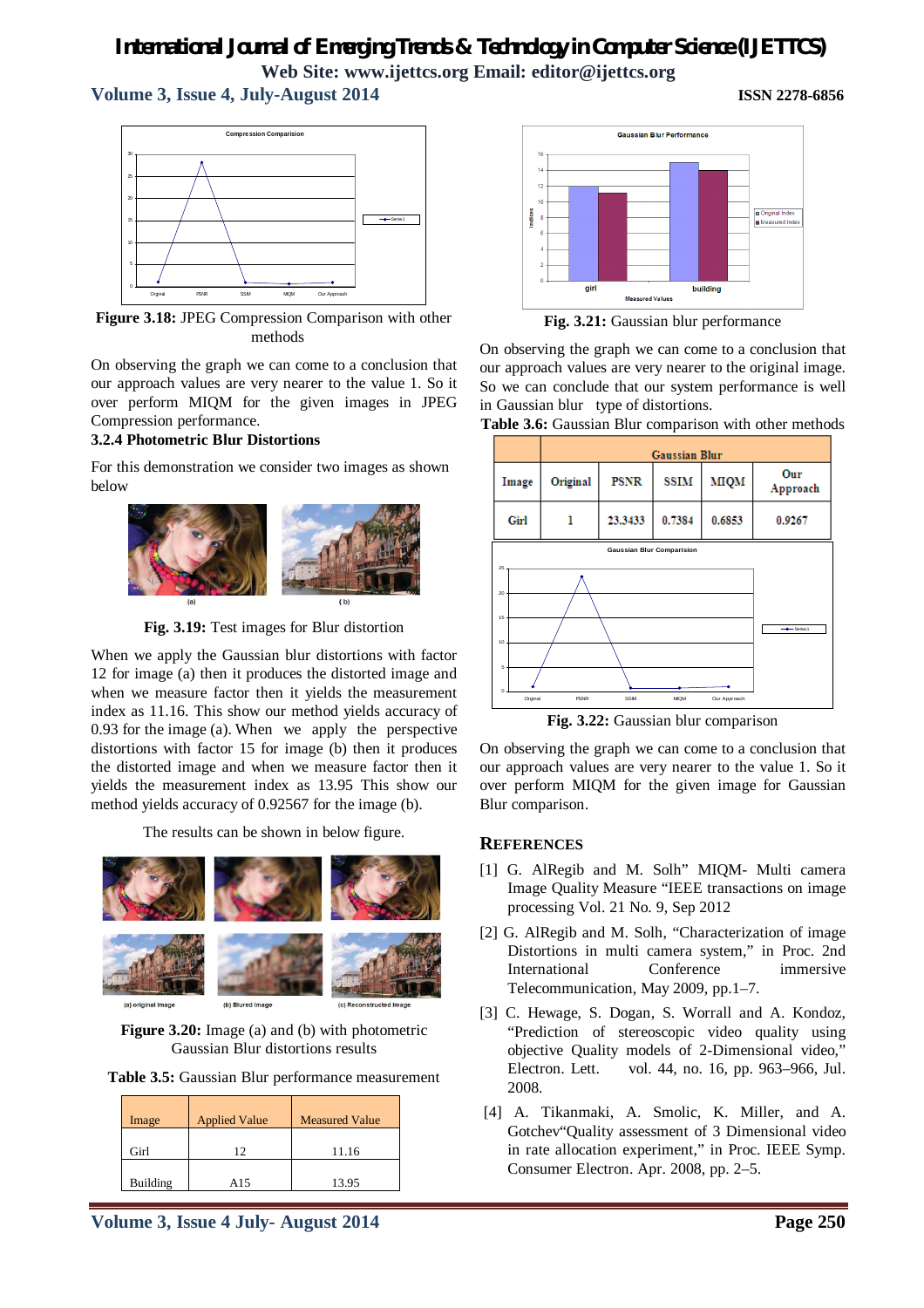# **Volume 3, Issue 4, July-August 2014 ISSN 2278-6856**



**Figure 3.18:** JPEG Compression Comparison with other methods

On observing the graph we can come to a conclusion that our approach values are very nearer to the value 1. So it over perform MIQM for the given images in JPEG Compression performance.

#### **3.2.4 Photometric Blur Distortions**

For this demonstration we consider two images as shown below



**Fig. 3.19:** Test images for Blur distortion

When we apply the Gaussian blur distortions with factor 12 for image (a) then it produces the distorted image and when we measure factor then it yields the measurement index as 11.16. This show our method yields accuracy of 0.93 for the image (a). When we apply the perspective distortions with factor 15 for image (b) then it produces the distorted image and when we measure factor then it yields the measurement index as 13.95 This show our method yields accuracy of 0.92567 for the image (b).

The results can be shown in below figure.



**Figure 3.20:** Image (a) and (b) with photometric Gaussian Blur distortions results

**Table 3.5:** Gaussian Blur performance measurement

| Image    | <b>Applied Value</b> | <b>Measured Value</b> |
|----------|----------------------|-----------------------|
| Girl     | 12                   | 11.16                 |
| Building | A15                  | 13.95                 |





**Fig. 3.21:** Gaussian blur performance

On observing the graph we can come to a conclusion that our approach values are very nearer to the original image. So we can conclude that our system performance is well in Gaussian blur type of distortions.





**Fig. 3.22:** Gaussian blur comparison

On observing the graph we can come to a conclusion that our approach values are very nearer to the value 1. So it over perform MIQM for the given image for Gaussian Blur comparison.

#### **REFERENCES**

- [1] G. AlRegib and M. Solh" MIQM- Multi camera Image Quality Measure "IEEE transactions on image processing Vol. 21 No. 9, Sep 2012
- [2] G. AlRegib and M. Solh, "Characterization of image Distortions in multi camera system," in Proc. 2nd International Conference immersive Telecommunication, May 2009, pp.1–7.
- [3] C. Hewage, S. Dogan, S. Worrall and A. Kondoz, "Prediction of stereoscopic video quality using objective Quality models of 2-Dimensional video," Electron. Lett. vol. 44, no. 16, pp. 963–966, Jul. 2008.
- [4] A. Tikanmaki, A. Smolic, K. Miller, and A. Gotchev"Quality assessment of 3 Dimensional video in rate allocation experiment," in Proc. IEEE Symp. Consumer Electron. Apr. 2008, pp. 2–5.